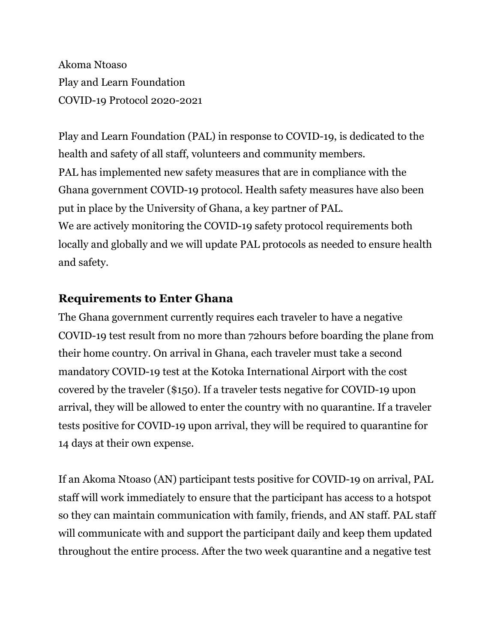Akoma Ntoaso Play and Learn Foundation COVID-19 Protocol 2020-2021

Play and Learn Foundation (PAL) in response to COVID-19, is dedicated to the health and safety of all staff, volunteers and community members. PAL has implemented new safety measures that are in compliance with the Ghana government COVID-19 protocol. Health safety measures have also been put in place by the University of Ghana, a key partner of PAL. We are actively monitoring the COVID-19 safety protocol requirements both locally and globally and we will update PAL protocols as needed to ensure health and safety.

## **Requirements to Enter Ghana**

The Ghana government currently requires each traveler to have a negative COVID-19 test result from no more than 72hours before boarding the plane from their home country. On arrival in Ghana, each traveler must take a second mandatory COVID-19 test at the Kotoka International Airport with the cost covered by the traveler (\$150). If a traveler tests negative for COVID-19 upon arrival, they will be allowed to enter the country with no quarantine. If a traveler tests positive for COVID-19 upon arrival, they will be required to quarantine for 14 days at their own expense.

If an Akoma Ntoaso (AN) participant tests positive for COVID-19 on arrival, PAL staff will work immediately to ensure that the participant has access to a hotspot so they can maintain communication with family, friends, and AN staff. PAL staff will communicate with and support the participant daily and keep them updated throughout the entire process. After the two week quarantine and a negative test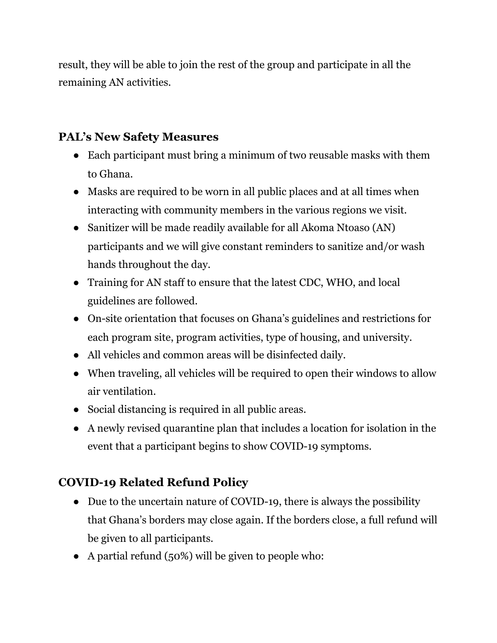result, they will be able to join the rest of the group and participate in all the remaining AN activities.

## **PAL's New Safety Measures**

- Each participant must bring a minimum of two reusable masks with them to Ghana.
- Masks are required to be worn in all public places and at all times when interacting with community members in the various regions we visit.
- Sanitizer will be made readily available for all Akoma Ntoaso (AN) participants and we will give constant reminders to sanitize and/or wash hands throughout the day.
- Training for AN staff to ensure that the latest CDC, WHO, and local guidelines are followed.
- On-site orientation that focuses on Ghana's guidelines and restrictions for each program site, program activities, type of housing, and university.
- All vehicles and common areas will be disinfected daily.
- When traveling, all vehicles will be required to open their windows to allow air ventilation.
- Social distancing is required in all public areas.
- A newly revised quarantine plan that includes a location for isolation in the event that a participant begins to show COVID-19 symptoms.

## **COVID-19 Related Refund Policy**

- Due to the uncertain nature of COVID-19, there is always the possibility that Ghana's borders may close again. If the borders close, a full refund will be given to all participants.
- A partial refund (50%) will be given to people who: